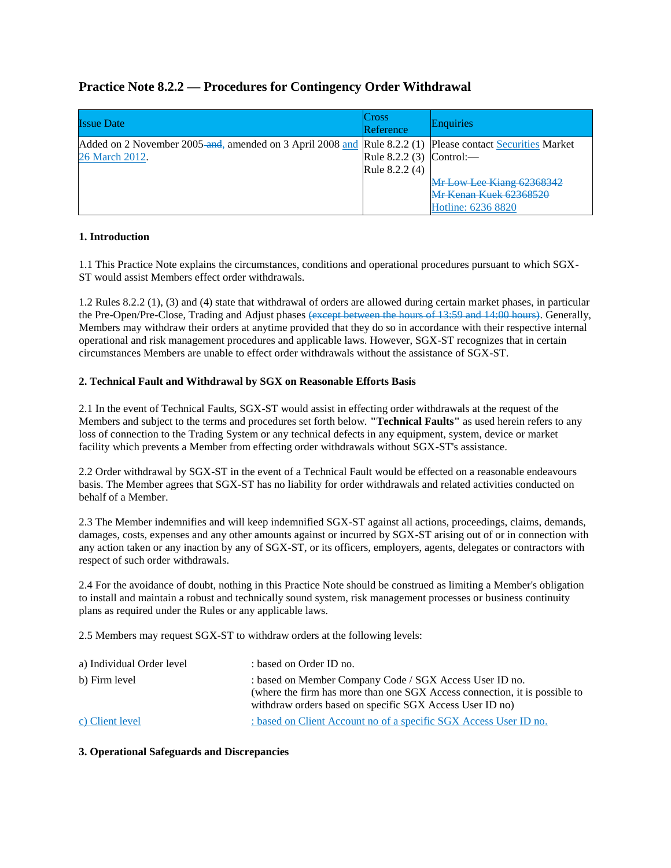## **Practice Note 8.2.2 — Procedures for Contingency Order Withdrawal**

| <b>Issue Date</b>                                                                                         | Cross<br>Reference       | Enquiries                 |
|-----------------------------------------------------------------------------------------------------------|--------------------------|---------------------------|
| Added on 2 November 2005-and, amended on 3 April 2008 and Rule 8.2.2 (1) Please contact Securities Market |                          |                           |
| 26 March 2012.                                                                                            | Rule 8.2.2 (3) Control:— |                           |
|                                                                                                           | Rule 8.2.2 (4)           |                           |
|                                                                                                           |                          | Mr Low Lee Kiang 62368342 |
|                                                                                                           |                          | Mr Kenan Kuek 62368520    |
|                                                                                                           |                          | Hotline: 6236 8820        |

## **1. Introduction**

1.1 This Practice Note explains the circumstances, conditions and operational procedures pursuant to which SGX-ST would assist Members effect order withdrawals.

1.2 Rules 8.2.2 (1), (3) and (4) state that withdrawal of orders are allowed during certain market phases, in particular the Pre-Open/Pre-Close, Trading and Adjust phases (except between the hours of 13:59 and 14:00 hours). Generally, Members may withdraw their orders at anytime provided that they do so in accordance with their respective internal operational and risk management procedures and applicable laws. However, SGX-ST recognizes that in certain circumstances Members are unable to effect order withdrawals without the assistance of SGX-ST.

## **2. Technical Fault and Withdrawal by SGX on Reasonable Efforts Basis**

2.1 In the event of Technical Faults, SGX-ST would assist in effecting order withdrawals at the request of the Members and subject to the terms and procedures set forth below. **"Technical Faults"** as used herein refers to any loss of connection to the Trading System or any technical defects in any equipment, system, device or market facility which prevents a Member from effecting order withdrawals without SGX-ST's assistance.

2.2 Order withdrawal by SGX-ST in the event of a Technical Fault would be effected on a reasonable endeavours basis. The Member agrees that SGX-ST has no liability for order withdrawals and related activities conducted on behalf of a Member.

2.3 The Member indemnifies and will keep indemnified SGX-ST against all actions, proceedings, claims, demands, damages, costs, expenses and any other amounts against or incurred by SGX-ST arising out of or in connection with any action taken or any inaction by any of SGX-ST, or its officers, employers, agents, delegates or contractors with respect of such order withdrawals.

2.4 For the avoidance of doubt, nothing in this Practice Note should be construed as limiting a Member's obligation to install and maintain a robust and technically sound system, risk management processes or business continuity plans as required under the Rules or any applicable laws.

2.5 Members may request SGX-ST to withdraw orders at the following levels:

| a) Individual Order level | : based on Order ID no.                                                                                                                                                                           |
|---------------------------|---------------------------------------------------------------------------------------------------------------------------------------------------------------------------------------------------|
| b) Firm level             | : based on Member Company Code / SGX Access User ID no.<br>(where the firm has more than one SGX Access connection, it is possible to<br>withdraw orders based on specific SGX Access User ID no) |
| c) Client level           | : based on Client Account no of a specific SGX Access User ID no.                                                                                                                                 |

## **3. Operational Safeguards and Discrepancies**